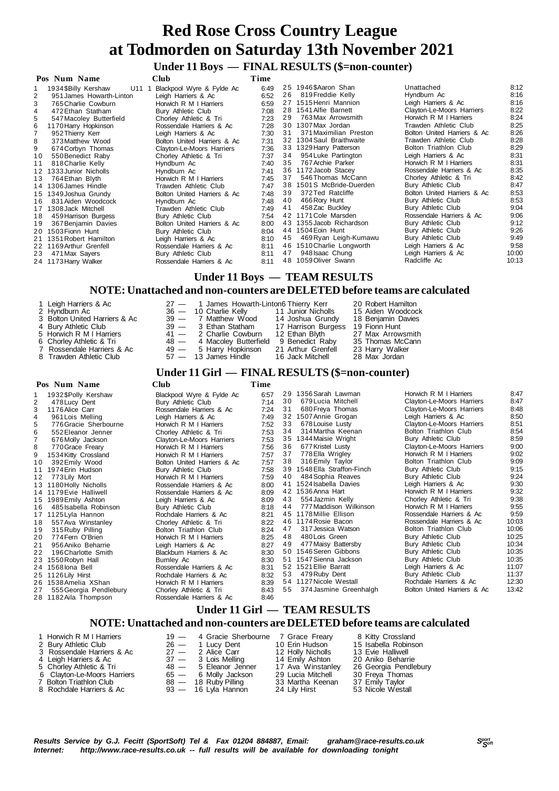# **Under 11 Boys — FINAL RESULTS (\$=non-counter)**

|     | Pos Num Name                 | Club                        | Time |    |                           |                             |       |
|-----|------------------------------|-----------------------------|------|----|---------------------------|-----------------------------|-------|
|     | 1934 SBilly Kershaw<br>U11 1 | Blackpool Wyre & Fylde Ac   | 6:49 |    | 25 1946 SAaron Shan       | Unattached                  | 8:12  |
|     | 951 James Howarth-Linton     | Leigh Harriers & Ac         | 6:52 | 26 | 819 Freddie Kelly         | Hyndburn Ac                 | 8:16  |
| 3   | 765 Charlie Cowburn          | Horwich R M I Harriers      | 6:59 |    | 27 1515 Henri Mannion     | Leigh Harriers & Ac         | 8:16  |
| 4   | 472 Ethan Statham            | Bury Athletic Club          | 7:08 |    | 28 1541 Alfie Barnett     | Clayton-Le-Moors Harriers   | 8:22  |
| 5   | 547 Macoley Butterfield      | Chorley Athletic & Tri      | 7:23 | 29 | 763 Max Arrowsmith        | Horwich R M I Harriers      | 8:24  |
| 6   | 1170 Harry Hopkinson         | Rossendale Harriers & Ac    | 7:28 |    | 30 1307 Max Jordan        | Trawden Athletic Club       | 8:25  |
|     | 952 Thierry Kerr             | Leigh Harriers & Ac         | 7:30 | 31 | 371 Maximilian Preston    | Bolton United Harriers & Ac | 8:26  |
| 8   | 373 Matthew Wood             | Bolton United Harriers & Ac | 7:31 |    | 32 1304 Saul Braithwaite  | Trawden Athletic Club       | 8:28  |
| 9   | 674 Corbyn Thomas            | Clayton-Le-Moors Harriers   | 7:36 |    | 33 1329 Harry Patterson   | Bolton Triathlon Club       | 8:29  |
| 10  | 550 Benedict Raby            | Chorley Athletic & Tri      | 7:37 | 34 | 954 Luke Partington       | Leigh Harriers & Ac         | 8:31  |
| 11  | 818 Charlie Kelly            | Hyndburn Ac                 | 7:40 | 35 | 767 Archie Parker         | Horwich R M I Harriers      | 8:31  |
|     | 12 1333 Junior Nicholls      | Hyndburn Ac                 | 7:41 |    | 36 1172 Jacob Stacey      | Rossendale Harriers & Ac    | 8:35  |
| 13  | 764 Ethan Blyth              | Horwich R M I Harriers      | 7:45 | 37 | 546 Thomas McCann         | Chorley Athletic & Tri      | 8:42  |
|     | 14 1306 James Hindle         | Trawden Athletic Club       | 7:47 |    | 38 1501S McBride-Duerden  | Bury Athletic Club          | 8:47  |
|     | 15 1349 Joshua Grundy        | Bolton United Harriers & Ac | 7:48 | 39 | 372 Ted Ratcliffe         | Bolton United Harriers & Ac | 8:53  |
| 16. | 831 Aiden Woodcock           | Hyndburn Ac                 | 7:48 | 40 | 466 Rory Hunt             | Bury Athletic Club          | 8:53  |
| 17  | 1308 Jack Mitchell           | Trawden Athletic Club       | 7:49 | 41 | 458 Zac Buckley           | Bury Athletic Club          | 9:04  |
| 18  | 459 Harrison Burgess         | Bury Athletic Club          | 7:54 |    | 42 1171 Cole Marsden      | Rossendale Harriers & Ac    | 9:06  |
| 19  | 367 Benjamin Davies          | Bolton United Harriers & Ac | 8:00 |    | 43 1355 Jacob Richardson  | Bury Athletic Club          | 9:12  |
| 20  | 1503 Fionn Hunt              | Bury Athletic Club          | 8:04 |    | 44 1504 Eoin Hunt         | Bury Athletic Club          | 9:26  |
|     | 21 1351 Robert Hamilton      | Leigh Harriers & Ac         | 8:10 | 45 | 469 Ryan Leigh-Kumawu     | Bury Athletic Club          | 9:49  |
|     | 22 1169 Arthur Grenfell      | Rossendale Harriers & Ac    | 8:11 |    | 46 1510 Charlie Longworth | Leigh Harriers & Ac         | 9:58  |
| 23  | 471 Max Sayers               | Bury Athletic Club          | 8:11 | 47 | 948 Isaac Chung           | Leigh Harriers & Ac         | 10:00 |
|     | 24 1173 Harry Walker         | Rossendale Harriers & Ac    | 8:11 |    | 48 1059 Oliver Swann      | Radcliffe Ac                | 10:13 |

### **Under 11 Boys — TEAM RESULTS**

### **NOTE: Unattached and non-counters are DELETED before teams are calculated**

| 1 Leigh Harriers & Ac<br>2 Hyndburn Ac<br>3 Bolton United Harriers & Ac<br>4 Bury Athletic Club<br>5 Horwich R M I Harriers<br>6 Chorley Athletic & Tri<br>7 Rossendale Harriers & Ac<br>8 Trawden Athletic Club |  | 27 - 1 James Howarth-Linton6 Thierry Kerr<br>36 - 10 Charlie Kelly 11 Junior Nicholls<br>39 - 7 Matthew Wood 14 Joshua Grundy<br>39 - 3 Ethan Statham 17 Harrison Burgess 19 Fionn Hunt<br>41 — 2 Charlie Cowburn 12 Ethan Blyth<br>48 - 4 Macoley Butterfield 9 Benedict Raby<br>49 - 5 Harry Hopkinson 21 Arthur Grenfell<br>57 — 13 James Hindle 16 Jack Mitchell |  | 20 Robert Hamilton<br>15 Aiden Woodcock<br>18 Benjamin Davies<br>27 Max Arrowsmith<br>35 Thomas McCann<br>23 Harry Walker<br>28 Max Jordan |  |
|------------------------------------------------------------------------------------------------------------------------------------------------------------------------------------------------------------------|--|----------------------------------------------------------------------------------------------------------------------------------------------------------------------------------------------------------------------------------------------------------------------------------------------------------------------------------------------------------------------|--|--------------------------------------------------------------------------------------------------------------------------------------------|--|
|------------------------------------------------------------------------------------------------------------------------------------------------------------------------------------------------------------------|--|----------------------------------------------------------------------------------------------------------------------------------------------------------------------------------------------------------------------------------------------------------------------------------------------------------------------------------------------------------------------|--|--------------------------------------------------------------------------------------------------------------------------------------------|--|

# **Under 11 Girl — FINAL RESULTS (\$=non-counter)**

#### **Pos Num Name Club Time** 1 132 \$Polly Kershaw Blackpool Wyre & Fylde Ac 6:57<br>176 Lucy Dent Bury Athletic Club 7:14<br>1176 Alice Carr Rossendale Harriers & Ac 7:24 2 478 Lucy Dent Bury Athletic Club 7:14<br>2 1176 Alice Carr Rossendale Harriers & Ac 7:24 3 1176Alice Carr Rossendale Harriers & Ac 7:24 4 961 Lois Melling Leigh Harriers & Ac 77:49<br>5 776 Gracie Sherbourne Horwich R M I Harriers 7:52 5 776Gracie Sherbourne Horwich R M I Harriers 7:52 6 552Eleanor Jenner Chorley Athletic & Tri 7:53 7 676 Molly Jackson Clayton-Le-Moors Harriers 7:53<br>2770 Grace Freary Clayton R M I Harriers 7:56 8 770 Grace Freary **Horwich R M I Harriers** 7:56<br>9 1534 Kitty Crossland Honwich R M I Harriers 7:57 1534 Kitty Crossland 1 Bolton United Harriers & Ac 7:57<br>Burv Athletic Club 7:58 10 392 Emily Wood Bolton United Harriers & Ac 7:57<br>11 1974 Erin Hudson Bury Athletic Club 7:58<br>12 773 Lily Mort Horwich R M I Harriers 7:59 1 2 773 Lily Mort **Horwich R M I Harriers 7:59**<br>1 3 1180 Holly Nicholls Rossendale Harriers & Ac 8:00 1 3 11 80 Holly Nicholls **Rossendale Harriers & Ac** 8:00<br>14 11 79 Fyie Halliwell **Rossendale Harriers & Ac** 8:09 Rossendale Harriers & Ac 8:09<br>Leigh Harriers & Ac 8:09 15 1989Emily Ashton Leigh Harriers & Ac 8:09<br>16 185 Isabella Robinson Bury Athletic Club 16 485 Isabella Robinson Bury Athletic Club 8:18<br>17 1125 Lvla Hannon Rochdale Harriers & Ac 8:21 17 1125Lyla Hannon **Rochdale Harriers & Ac** 8:21<br>18 557Ava Winstanley **Chorley Athletic & Tri** 8:22 1 8 557Ava Winstanley Chorley Athletic & Tri 8:22 1 9 315 Ruby Pilling **19 Bolton Triathlon Club** 8:24<br>20 774 Fern O'Brien **Bolton Triathlon Club** 8:24 20 774 Fern O'Brien **Horwich R M I Harriers** 8:25<br>21 956 Aniko Beharrie **Hormich Harriers & Ac** 8:27 2 1 956Aniko Beharrie Leigh Harriers & Ac 8:27 2 2 Blackburn Harriers & Ac 8:30<br>Burnley Ac 8:30 23 1550 Robyn Hall Burnley Ac 8:30<br>24 1568 Iona Bell Burnley Ac 8:30<br>24 1568 Iona Bell Rossendale Harriers & Ac 8:31 2 4 1568Iona Bell Rossendale Harriers & Ac 8:31 Prochdale Harriers & Ac 8:32<br>
Horwich R M I Harriers 8:39 2 6 1538Amelia XShan Horwich R M I Harriers 8:39 2 7 555Georgia Pendlebury Chorley Athletic & Tri 8:43 28 1182 Aila Thompson 2 9 1356Sarah Lawman Horwich R M I Harriers 8:47 30 679Lucia Mitchell Clayton-Le-Moors Harriers 8:47<br>31 680 Freya Thomas Clayton-Le-Moors Harriers 8:48 31 680 Freya Thomas Clayton-Le-Moors Harriers 8:48<br>32 1507 Annie Grogan Leigh Harriers & Ac 8:50 3 21507 Annie Grogan Leigh Harriers & Ac 8:50<br>3 3678 Louise Lusty Clayton-Le-Moors Harriers 8:51 3 678 Louise Lusty Clayton-Le-Moors Harriers 8:51<br>34 314 Martha Keenan Bolton Triathlon Club 8:54 34 314 Martha Keenan Bolton Triathlon Club 8:54<br>35 1344 Maisie Wright Bury Athletic Club 8:59 35 1344 Maisie Wright Bury Athletic Club 8:59<br>36 677 Kristel Lustv Clavton-Le-Moors Harriers 9:00 36 677 Kristel Lusty Clayton-Le-Moors Harriers 9:00<br>37 778 Ella Wrigley Horwich R M I Harriers 9:02 37 778 Ella Wrigley **Horwich R M I Harriers** 9:02<br>38 316 Emily Taylor **Bolton Triathlon Club** 9:09 3.09 Bolton Triathlon Club 9:09<br>Bury Athletic Club 9:15 3 9 1548Ella Straffon-Finch Bury Athletic Club 9:15 4 0 484Sophia Reaves Bury Athletic Club 9:24 4 1 1524Isabella Davies Leigh Harriers & Ac 9:30 4 2 1536 Anna Hart **Horwich R M I Harriers** 9:32<br>43 554 Jazmin Kelly **Chorley Athletic & Tri** 9:38 4 554 Jazmin Kelly Chorley Athletic & Tri 9:38<br>44 777 Maddison Wilkinson Horwich R M I Harriers 9:55 44 777 Maddison Wilkinson Horwich R M I Harriers 9:55<br>45 1178 Millie Ellison Rossendale Harriers & Ac 9:59 45 1178 Millie Ellison Rossendale Harriers & Ac 9:59<br>46 1174 Rosie Bacon Rossendale Harriers & Ac 10:03 46 1174 Rosie Bacon **Rossendale Harriers & Ac 10:03**<br>47 317 Jessica Watson Bolton Triathlon Club 10:06 Bolton Triathlon Club 4 8 480 Lois Green 10:25<br>49 477 Maisy Battersby 10:34 Bury Athletic Club 10:34 49 477 Maisy Battersby Bury Athletic Club 10:34<br>50 1546 Seren Gibbons Bury Athletic Club 10:35 50 1546 Seren Gibbons Bury Athletic Club 10:35<br>51 1547 Sienna Jackson Bury Athletic Club 10:35 5 1 1547Sienna Jackson Bury Athletic Club 10:35 5 2 1521Ellie Barratt Leigh Harriers & Ac 11:07 53 479 Ruby Dent Bury Athletic Club 11:37<br>54 1127 Nicole Westall Rochdale Harriers & Ac 12:30 54 1127 Nicole Westall **Rochdale Harriers & Ac** 12:30<br>55 374 Jasmine Greenhalgh Bolton United Harriers & Ac 13:42 Bolton United Harriers & Ac

# **Under 11 Girl — TEAM RESULTS**

| 1 Horwich R M I Harriers    | 19 - 4 Gracie Sherbourne 7 Grace Freary |                   | 8 Kitty Crossland     |
|-----------------------------|-----------------------------------------|-------------------|-----------------------|
| 2 Bury Athletic Club        | 26 - 1 Lucy Dent 10 Erin Hudson         |                   | 15 Isabella Robinson  |
| 3 Rossendale Harriers & Ac  | 27 — 2 Alice Carr                       | 12 Hollv Nicholls | 13 Evie Halliwell     |
| 4 Leigh Harriers & Ac       | 37 — 3 Lois Melling                     | 14 Emily Ashton   | 20 Aniko Beharrie     |
| 5 Chorley Athletic & Tri    | 48 - 5 Eleanor Jenner                   | 17 Ava Winstanley | 26 Georgia Pendlebury |
| 6 Clayton-Le-Moors Harriers | 65 - 6 Molly Jackson                    | 29 Lucia Mitchell | 30 Freya Thomas       |
| 7 Bolton Triathlon Club     | 88 — 18 Ruby Pilling                    | 33 Martha Keenan  | 37 Emily Taylor       |
| 8 Rochdale Harriers & Ac    | $93 - 16$ Lyla Hannon                   | 24 Lilv Hirst     | 53 Nicole Westall     |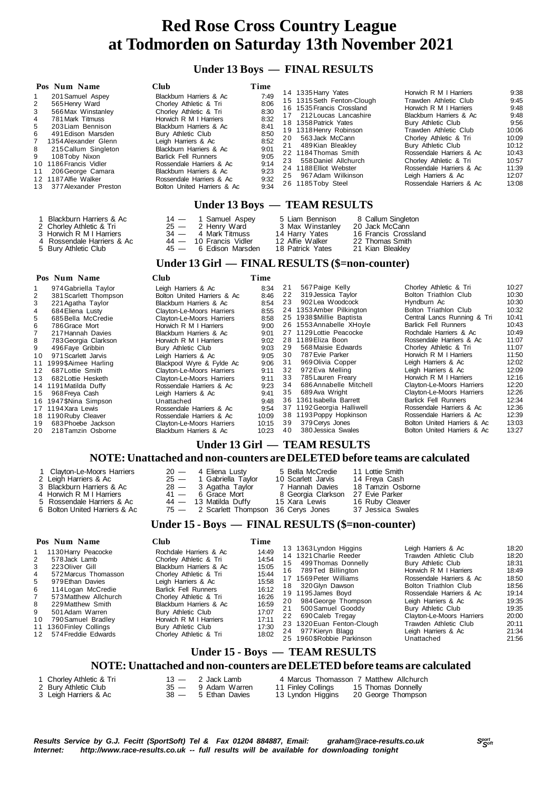#### **Under 13 Boys — FINAL RESULTS**

| Pos Num Name<br>201 Samuel Aspey<br>1<br>2<br>565 Henry Ward<br>3<br>566 Max Winstanley<br>4<br>781 Mark Titmuss<br>5<br>203 Liam Bennison<br>6<br>491 Edison Marsden<br>$7^{\circ}$<br>1354 Alexander Glenn<br>8<br>215 Callum Singleton<br>9<br>108 Toby Nixon<br>10 1186 Francis Vidler<br>206 George Camara<br>11<br>12 1187 Alfie Walker<br>13 377 Alexander Preston | <b>Club</b><br>Blackburn Harriers & Ac<br>Chorley Athletic & Tri<br>Chorley Athletic & Tri<br>Horwich R M I Harriers<br>Blackburn Harriers & Ac<br>Bury Athletic Club<br>Leigh Harriers & Ac<br>Blackburn Harriers & Ac<br><b>Barlick Fell Runners</b><br>Rossendale Harriers & Ac<br>Blackburn Harriers & Ac<br>Rossendale Harriers & Ac<br>Bolton United Harriers & Ac | Time<br>7:49<br>8:06<br>8:30<br>8:32<br>8:41<br>8:50<br>8:52<br>9:01<br>9:05<br>9:14<br>9:23<br>9:32<br>9:34 | 20<br>21 | 14 1335 Harry Yates<br>15 1315 Seth Fenton-Clough<br>16 1535 Francis Crossland<br>17 212 Loucas Lancashire<br>18 1358 Patrick Yates<br>19 1318 Henry Robinson<br>563 Jack McCann<br>489 Kian Bleaklev<br>22 1184 Thomas Smith<br>23 558 Daniel Allchurch<br>24 1188 Elliot Webster<br>25 967 Adam Wilkinson<br>26 1185 Toby Steel<br>Under 13 Boys - TEAM RESULTS | Horwich R M I Harriers<br>Trawden Athletic Club<br>Horwich R M I Harriers<br>Blackburn Harriers & Ac<br>Bury Athletic Club<br>Trawden Athletic Club<br>Chorley Athletic & Tri<br>Bury Athletic Club<br>Rossendale Harriers & Ac<br>Chorley Athletic & Tri<br>Rossendale Harriers & Ac<br>Leigh Harriers & Ac<br>Rossendale Harriers & Ac | 9:38<br>9:45<br>9:48<br>9:48<br>9:56<br>10:06<br>10:09<br>10:12<br>10:43<br>10:57<br>11:39<br>12:07<br>13:08 |
|---------------------------------------------------------------------------------------------------------------------------------------------------------------------------------------------------------------------------------------------------------------------------------------------------------------------------------------------------------------------------|--------------------------------------------------------------------------------------------------------------------------------------------------------------------------------------------------------------------------------------------------------------------------------------------------------------------------------------------------------------------------|--------------------------------------------------------------------------------------------------------------|----------|-------------------------------------------------------------------------------------------------------------------------------------------------------------------------------------------------------------------------------------------------------------------------------------------------------------------------------------------------------------------|------------------------------------------------------------------------------------------------------------------------------------------------------------------------------------------------------------------------------------------------------------------------------------------------------------------------------------------|--------------------------------------------------------------------------------------------------------------|
|                                                                                                                                                                                                                                                                                                                                                                           |                                                                                                                                                                                                                                                                                                                                                                          |                                                                                                              |          |                                                                                                                                                                                                                                                                                                                                                                   |                                                                                                                                                                                                                                                                                                                                          |                                                                                                              |

| Blackburn Harriers & Ac    | $14 - 1$ Samuel Aspey    | 5 Liam Bennison  | 8 Callum Singleton   |
|----------------------------|--------------------------|------------------|----------------------|
| 2 Chorley Athletic & Tri   | $25 - 2$ Henry Ward      | 3 Max Winstanley | 20 Jack McCann       |
| 3 Horwich R M I Harriers   | 34 — 4 Mark Titmuss      | 14 Harry Yates   | 16 Francis Crossland |
| 4 Rossendale Harriers & Ac | $44 - 10$ Francis Vidler | 12 Alfie Walker  | 22 Thomas Smith      |
| 5 Bury Athletic Club       | 45 — 6 Edison Marsden    | 18 Patrick Yates | 21 Kian Bleaklev     |

#### **Under 13 Girl — FINAL RESULTS (\$=non-counter)**

|                 | Pos Num Name           | <b>Club</b>                 | Time  |    |                           |                             |       |
|-----------------|------------------------|-----------------------------|-------|----|---------------------------|-----------------------------|-------|
|                 | 974 Gabriella Taylor   | Leigh Harriers & Ac         | 8:34  | 21 | 567 Paige Kelly           | Chorley Athletic & Tri      | 10:27 |
|                 | 381 Scarlett Thompson  | Bolton United Harriers & Ac | 8:46  | 22 | 319 Jessica Taylor        | Bolton Triathlon Club       | 10:30 |
|                 | 221 Agatha Taylor      | Blackburn Harriers & Ac     | 8:54  | 23 | 902 Lea Woodcock          | Hyndburn Ac                 | 10:30 |
|                 | 684 Eliena Lusty       | Clayton-Le-Moors Harriers   | 8:55  |    | 24 1353 Amber Pilkington  | Bolton Triathlon Club       | 10:32 |
| 5               | 685 Bella McCredie     | Clayton-Le-Moors Harriers   | 8:58  |    | 25 1938 \$Millie Baptista | Central Lancs Running & Tri | 10:41 |
| 6               | 786 Grace Mort         | Horwich R M I Harriers      | 9:00  |    | 26 1553 Annabelle XHoyle  | <b>Barlick Fell Runners</b> | 10:43 |
|                 | 217 Hannah Davies      | Blackburn Harriers & Ac     | 9:01  |    | 27 1129 Lottie Peacocke   | Rochdale Harriers & Ac      | 10:49 |
| 8               | 783 Georgia Clarkson   | Horwich R M I Harriers      | 9:02  |    | 28 1189 Eliza Boon        | Rossendale Harriers & Ac    | 11:07 |
| 9               | 496 Faye Gribbin       | Bury Athletic Club          | 9:03  | 29 | 568 Maisie Edwards        | Chorley Athletic & Tri      | 11:07 |
| 10 <sup>1</sup> | 971 Scarlett Jarvis    | Leigh Harriers & Ac         | 9:05  | 30 | 787 Evie Parker           | Horwich R M I Harriers      | 11:50 |
|                 | 11 1999\$Aimee Harling | Blackpool Wyre & Fylde Ac   | 9:06  | 31 | 969 Olivia Copper         | Leigh Harriers & Ac         | 12:02 |
| 12 <sup>1</sup> | 687 Lottie Smith       | Clayton-Le-Moors Harriers   | 9:11  | 32 | 972 Eva Melling           | Leigh Harriers & Ac         | 12:09 |
| 13              | 682 Lottie Hesketh     | Clayton-Le-Moors Harriers   | 9:11  | 33 | 785 Lauren Freary         | Horwich R M I Harriers      | 12:16 |
|                 | 14 1191 Matilda Duffy  | Rossendale Harriers & Ac    | 9:23  | 34 | 686 Annabelle Mitchell    | Clayton-Le-Moors Harriers   | 12:20 |
| 15              | 968 Freya Cash         | Leigh Harriers & Ac         | 9:41  | 35 | 689 Ava Wright            | Clayton-Le-Moors Harriers   | 12:26 |
|                 | 16 1947 \$Nina Simpson | Unattached                  | 9:48  |    | 36 1361 Isabella Barrett  | <b>Barlick Fell Runners</b> | 12:34 |
|                 | 17 1194 Xara Lewis     | Rossendale Harriers & Ac    | 9:54  |    | 37 1192 Georgia Halliwell | Rossendale Harriers & Ac    | 12:36 |
|                 | 18 1190 Ruby Cleaver   | Rossendale Harriers & Ac    | 10:09 |    | 38 1193 Poppy Hopkinson   | Rossendale Harriers & Ac    | 12:39 |
| 19              | 683 Phoebe Jackson     | Clayton-Le-Moors Harriers   | 10:15 | 39 | 379 Cerys Jones           | Bolton United Harriers & Ac | 13:03 |
| 20.             | 218 Tamzin Osborne     | Blackburn Harriers & Ac     | 10:23 | 40 | 380 Jessica Swales        | Bolton United Harriers & Ac | 13:27 |

### **Under 13 Girl — TEAM RESULTS**

#### **NOTE: Unattached and non-counters are DELETED before teams are calculated**

| 1 Clayton-Le-Moors Harriers   | $20 - 4$ Eliena Lusty                   | 5 Bella McCredie   | 11 Lottie Smith   |
|-------------------------------|-----------------------------------------|--------------------|-------------------|
| 2 Leigh Harriers & Ac         | $25 - 1$ Gabriella Taylor               | 10 Scarlett Jarvis | 14 Freya Cash     |
| 3 Blackburn Harriers & Ac     | $28 - 3$ Agatha Taylor                  | 7 Hannah Davies    | 18 Tamzin Osborne |
| 4 Horwich R M I Harriers      | $41 - 6$ Grace Mort                     | 8 Georgia Clarkson | 27 Evie Parker    |
| 5 Rossendale Harriers & Ac    | 44 - 13 Matilda Duffy                   | 15 Xara Lewis      | 16 Ruby Cleaver   |
| 6 Bolton United Harriers & Ac | 75 - 2 Scarlett Thompson 36 Cerys Jones |                    | 37 Jessica Swales |

5 Bury Athletic Club

#### **Under 15 - Boys — FINAL RESULTS (\$=non-counter)**

| Club<br>Pos Num Name<br>Rochdale Harriers & Ac<br>1130 Harry Peacocke<br>578 Jack Lamb<br>Chorley Athletic & Tri<br>2<br>Blackburn Harriers & Ac<br>3<br>223 Oliver Gill<br>Chorley Athletic & Tri<br>572 Marcus Thomasson<br>4<br>Leigh Harriers & Ac<br>5.<br>979 Ethan Davies<br><b>Barlick Fell Runners</b><br>6<br>114 Logan McCredie<br>573 Matthew Allchurch<br>Chorley Athletic & Tri<br>Blackburn Harriers & Ac<br>229 Matthew Smith<br>8<br>9<br>Bury Athletic Club<br>501 Adam Warren<br>Horwich R M I Harriers<br>790 Samuel Bradley<br>10<br>1360 Finley Collings<br>Bury Athletic Club<br>11<br>574 Freddie Edwards<br>Chorley Athletic & Tri<br>12 | Time<br>14:49<br>14:54<br>15:05<br>15:44<br>15:58<br>16:12<br>16:26<br>16:59<br>17:07<br>17:11<br>17:30<br>18:02 | 13 1363 Lyndon Higgins<br>14 1321 Charlie Reeder<br>499 Thomas Donnelly<br>15.<br>789Ted Billington<br>16.<br>17 1569 Peter Williams<br>320 Glvn Dawson<br>18.<br>19 1195 James Bovd<br>984 George Thompson<br>20<br>500 Samuel Gooddy<br>21<br>22 690 Caleb Tregay<br>23 1320 Euan Fenton-Clough<br>24 977 Kieryn Blagg<br>25 1960 SRobbie Parkinson | Leigh Harriers & Ac<br>Trawden Athletic Club<br>Bury Athletic Club<br>Horwich R M I Harriers<br>Rossendale Harriers & Ac<br>Bolton Triathlon Club<br>Rossendale Harriers & Ac<br>Leigh Harriers & Ac<br>Bury Athletic Club<br>Clayton-Le-Moors Harriers<br>Trawden Athletic Club<br>Leigh Harriers & Ac<br>Unattached | 18:20<br>18:20<br>18:31<br>18:49<br>18:50<br>18:56<br>19:14<br>19:35<br>19:35<br>20:00<br>20:11<br>21:34<br>21:56 |
|-------------------------------------------------------------------------------------------------------------------------------------------------------------------------------------------------------------------------------------------------------------------------------------------------------------------------------------------------------------------------------------------------------------------------------------------------------------------------------------------------------------------------------------------------------------------------------------------------------------------------------------------------------------------|------------------------------------------------------------------------------------------------------------------|-------------------------------------------------------------------------------------------------------------------------------------------------------------------------------------------------------------------------------------------------------------------------------------------------------------------------------------------------------|-----------------------------------------------------------------------------------------------------------------------------------------------------------------------------------------------------------------------------------------------------------------------------------------------------------------------|-------------------------------------------------------------------------------------------------------------------|
|-------------------------------------------------------------------------------------------------------------------------------------------------------------------------------------------------------------------------------------------------------------------------------------------------------------------------------------------------------------------------------------------------------------------------------------------------------------------------------------------------------------------------------------------------------------------------------------------------------------------------------------------------------------------|------------------------------------------------------------------------------------------------------------------|-------------------------------------------------------------------------------------------------------------------------------------------------------------------------------------------------------------------------------------------------------------------------------------------------------------------------------------------------------|-----------------------------------------------------------------------------------------------------------------------------------------------------------------------------------------------------------------------------------------------------------------------------------------------------------------------|-------------------------------------------------------------------------------------------------------------------|

#### **Under 15 - Boys — TEAM RESULTS**

| 1  Chorlev Athletic & Tri | $13 - 2$ Jack Lamb  | 4 Marcus Thomasson 7 Matthew Allchurch |
|---------------------------|---------------------|----------------------------------------|
| 2 Bury Athletic Club      | 35 — 9 Adam Warren  | 11 Finley Collings 15 Thomas Donnelly  |
| 3 Leigh Harriers & Ac     | 38 — 5 Ethan Davies | 13 Lyndon Higgins 20 George Thompson   |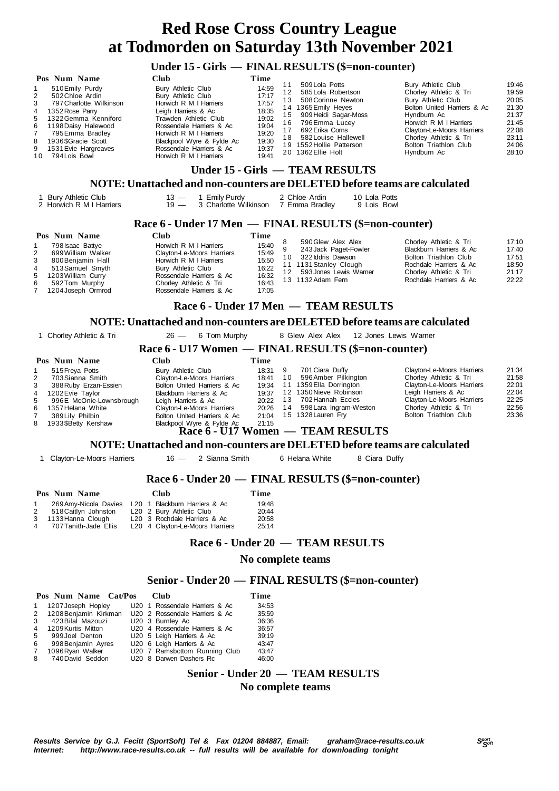### **Under 15 - Girls — FINAL RESULTS (\$=non-counter)**

|                                          | Pos Num Name                                                                                                                                                                                                              | Club                                                                                                                                                                                                                                                        | Time                                                                                   |                                   |                                                                                                                                                                                                                          |                                                                                                                                                                                                                                           |                                                                                        |
|------------------------------------------|---------------------------------------------------------------------------------------------------------------------------------------------------------------------------------------------------------------------------|-------------------------------------------------------------------------------------------------------------------------------------------------------------------------------------------------------------------------------------------------------------|----------------------------------------------------------------------------------------|-----------------------------------|--------------------------------------------------------------------------------------------------------------------------------------------------------------------------------------------------------------------------|-------------------------------------------------------------------------------------------------------------------------------------------------------------------------------------------------------------------------------------------|----------------------------------------------------------------------------------------|
| 2<br>3<br>4<br>$\overline{7}$<br>8<br>10 | 510 Emily Purdy<br>502 Chloe Ardin<br>797 Charlotte Wilkinson<br>1352 Rose Parry<br>5 1322 Gemma Kenniford<br>6 1198 Daisy Halewood<br>795 Emma Bradlev<br>1936 \$Gracie Scott<br>9 1531 Evie Hargreaves<br>794 Lois Bowl | Bury Athletic Club<br>Bury Athletic Club<br>Horwich R M I Harriers<br>Leigh Harriers & Ac<br>Trawden Athletic Club<br>Rossendale Harriers & Ac<br>Horwich R M I Harriers<br>Blackpool Wyre & Fylde Ac<br>Rossendale Harriers & Ac<br>Horwich R M I Harriers | 14:59<br>17:17<br>17:57<br>18:35<br>19:02<br>19:04<br>19:20<br>19:30<br>19:37<br>19:41 | 12<br>13<br>15<br>16.<br>17<br>18 | 509 Lola Potts<br>585 Lola Robertson<br>508 Corinne Newton<br>14 1365 Emily Heyes<br>909 Heidi Sagar-Moss<br>796 Emma Lucey<br>692 Erika Corns<br>582 Louise Hallewell<br>19 1552 Hollie Patterson<br>20 1362 Ellie Holt | Bury Athletic Club<br>Chorley Athletic & Tri<br>Bury Athletic Club<br>Bolton United Harriers & Ac<br>Hyndburn Ac<br>Horwich R M I Harriers<br>Clayton-Le-Moors Harriers<br>Chorley Athletic & Tri<br>Bolton Triathlon Club<br>Hyndburn Ac | 19:46<br>19:59<br>20:05<br>21:30<br>21:37<br>21:45<br>22:08<br>23:11<br>24:06<br>28:10 |

# **Under 15 - Girls — TEAM RESULTS**

# **NOTE: Unattached and non-counters are DELETED before teams are calculated**

| Bury Athletic Club<br>2 Horwich R M I Harriers                                                                                                                                             | 13 — 1 Emily Purdy<br>19 - 3 Charlotte Wilkinson 7 Emma Bradley                                                                                                                                      | 2 Chloe Ardin                                                                                          | 10 Lola Potts<br>9 Lois Bowl                                                                                                              |                                                                                                                                                          |                                                    |  |  |
|--------------------------------------------------------------------------------------------------------------------------------------------------------------------------------------------|------------------------------------------------------------------------------------------------------------------------------------------------------------------------------------------------------|--------------------------------------------------------------------------------------------------------|-------------------------------------------------------------------------------------------------------------------------------------------|----------------------------------------------------------------------------------------------------------------------------------------------------------|----------------------------------------------------|--|--|
|                                                                                                                                                                                            | Race 6 - Under 17 Men — FINAL RESULTS (\$=non-counter)                                                                                                                                               |                                                                                                        |                                                                                                                                           |                                                                                                                                                          |                                                    |  |  |
| Pos Num Name<br>798 Isaac Battye<br>1<br>2<br>699 William Walker<br>3<br>800 Benjamin Hall<br>4<br>513 Samuel Smyth<br>5<br>1203 William Curry<br>6<br>592Tom Murphy<br>1204 Joseph Ormrod | <b>Club</b><br>Horwich R M I Harriers<br>Clayton-Le-Moors Harriers<br>Horwich R M I Harriers<br>Bury Athletic Club<br>Rossendale Harriers & Ac<br>Chorley Athletic & Tri<br>Rossendale Harriers & Ac | Time<br>8<br>15:40<br>9<br>15:49<br>10 <sup>1</sup><br>15:50<br>16:22<br>12<br>16:32<br>16:43<br>17:05 | 590 Glew Alex Alex<br>243 Jack Paget-Fowler<br>322 Iddris Dawson<br>11 1131 Stanley Clough<br>593 Jones Lewis Warner<br>13 1132 Adam Fern | Chorley Athletic & Tri<br>Blackburn Harriers & Ac<br>Bolton Triathlon Club<br>Rochdale Harriers & Ac<br>Chorley Athletic & Tri<br>Rochdale Harriers & Ac | 17:10<br>17:40<br>17:51<br>18:50<br>21:17<br>22:22 |  |  |
|                                                                                                                                                                                            |                                                                                                                                                                                                      |                                                                                                        | Race 6 - Under 17 Men — TEAM RESULTS                                                                                                      |                                                                                                                                                          |                                                    |  |  |
|                                                                                                                                                                                            | NOTE: Unattached and non-counters are DELETED before teams are calculated                                                                                                                            |                                                                                                        |                                                                                                                                           |                                                                                                                                                          |                                                    |  |  |
| 1 Chorley Athletic & Tri                                                                                                                                                                   | $26 - 6$ Tom Murphy                                                                                                                                                                                  |                                                                                                        | 8 Glew Alex Alex 12 Jones Lewis Warner                                                                                                    |                                                                                                                                                          |                                                    |  |  |
|                                                                                                                                                                                            | Race 6 - U17 Women — FINAL RESULTS (\$=non-counter)                                                                                                                                                  |                                                                                                        |                                                                                                                                           |                                                                                                                                                          |                                                    |  |  |
| Pos Num Name                                                                                                                                                                               | <b>Club</b>                                                                                                                                                                                          | Time                                                                                                   |                                                                                                                                           |                                                                                                                                                          |                                                    |  |  |

|   | 515 Freya Potts         | Bury Athletic Club          | 18:31 9 |      | 701 Ciara Duffy                        | Clayton-Le-Moors Harriers | 21:34 |
|---|-------------------------|-----------------------------|---------|------|----------------------------------------|---------------------------|-------|
|   |                         |                             |         |      |                                        |                           |       |
| 2 | 703 Sianna Smith        | Clayton-Le-Moors Harriers   | 18:41   | 10   | 596 Amber Pilkington                   | Chorley Athletic & Tri    | 21:58 |
| 3 | 388 Ruby Erzan-Essien   | Bolton United Harriers & Ac | 19:34   |      | 11 1359 Ella Dorrington                | Clayton-Le-Moors Harriers | 22:01 |
|   | 4 1202 Evie Taylor      | Blackburn Harriers & Ac     | 19:37   |      | 12 1350 Nieve Robinson                 | Leigh Harriers & Ac       | 22:04 |
| 5 | 996E McOnie-Lownsbrough | Leigh Harriers & Ac         | 20:22   | - 13 | 702 Hannah Eccles                      | Clayton-Le-Moors Harriers | 22:25 |
|   | 6 1357 Helana White     | Clayton-Le-Moors Harriers   | 20:26   | 14   | 598 Lara Ingram-Weston                 | Chorley Athletic & Tri    | 22:56 |
|   | 389 Lily Philbin        | Bolton United Harriers & Ac | 21:04   |      | 15 1328 Lauren Fry                     | Bolton Triathlon Club     | 23:36 |
|   | 8 1933 SBetty Kershaw   | Blackpool Wyre & Fylde Ac   | 21:15   |      |                                        |                           |       |
|   |                         |                             |         |      | <b>Race 6 - U17 Women</b> TEAM RESULTS |                           |       |

### **Race 6 - U17 Women — TEAM RESULTS**

# **NOTE: Unattached and non-counters are DELETED before teams are calculated**

1 Clayton-Le-Moors Harriers 16 - 2 Sianna Smith 6 Helana White 8 Ciara Duffy

### **Race 6 - Under 20 — FINAL RESULTS (\$=non-counter)**

|              | Pos Num Name                                        |  | <b>Club</b>                     | Time  |
|--------------|-----------------------------------------------------|--|---------------------------------|-------|
| $\mathbf{1}$ | 269 Amy-Nicola Davies L20 1 Blackburn Harriers & Ac |  |                                 | 19:48 |
|              | 2 518 Caitlyn Johnston                              |  | L20 2 Bury Athletic Club        | 20:44 |
|              | 3 1133 Hanna Clough                                 |  | L20 3 Rochdale Harriers & Ac    | 20:58 |
|              | 4 707 Tanith-Jade Ellis                             |  | L20 4 Clayton-Le-Moors Harriers | 25:14 |

# **Race 6 - Under 20 — TEAM RESULTS**

#### **No complete teams**

# **Senior - Under 20 — FINAL RESULTS (\$=non-counter)**

|                | Pos Num Name Cat/Pos | Club                                                   | Time  |
|----------------|----------------------|--------------------------------------------------------|-------|
| $\mathbf{1}$   | 1207 Joseph Hopley   | U20 1 Rossendale Harriers & Ac                         | 34:53 |
|                |                      | 2 1208 Benjamin Kirkman U20 2 Rossendale Harriers & Ac | 35.59 |
| 3              | 423 Bilal Mazouzi    | U20 3 Burnley Ac                                       | 36:36 |
| $\overline{4}$ | 1209 Kurtis Mitton   | U20 4 Rossendale Harriers & Ac                         | 36:57 |
| 5              | 999 Joel Denton      | U20 5 Leigh Harriers & Ac                              | 39:19 |
| 6              | 998 Benjamin Ayres   | U20 6 Leigh Harriers & Ac                              | 43:47 |
| 7              | 1096 Ryan Walker     | U20 7 Ramsbottom Running Club                          | 43:47 |
| 8              | 740 David Seddon     | U20 8 Darwen Dashers Rc                                | 46:00 |

# **Senior - Under 20 — TEAM RESULTS No complete teams**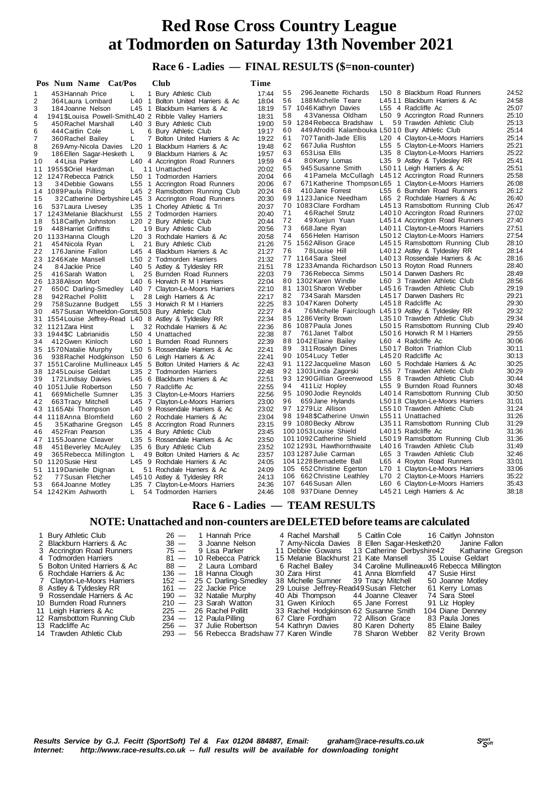# **Race 6 - Ladies — FINAL RESULTS (\$=non-counter)**

|    | Pos Num Name Cat/Pos                                   |                  | Club                                                          | Time  |    |                                                     |     |                                                        |       |
|----|--------------------------------------------------------|------------------|---------------------------------------------------------------|-------|----|-----------------------------------------------------|-----|--------------------------------------------------------|-------|
| 1  | 453 Hannah Price                                       | L                | 1 Bury Athletic Club                                          | 17:44 | 55 | 296 Jeanette Richards                               |     | L50 8 Blackburn Road Runners                           | 24:52 |
| 2  | 364 Laura Lombard                                      |                  | L40 1 Bolton United Harriers & Ac                             | 18:04 | 56 | 188 Michelle Teare                                  |     | L4511 Blackburn Harriers & Ac                          | 24:58 |
| 3  | 184 Joanne Nelson                                      |                  | L45 1 Blackburn Harriers & Ac                                 | 18:19 |    | 57 1046 Kathryn Davies                              |     | L55 4 Radcliffe Ac                                     | 25:07 |
| 4  | 1941 \$Louisa Powell-SmithL40 2 Ribble Valley Harriers |                  |                                                               | 18:31 | 58 | 43 Vanessa Oldham                                   |     | L50 9 Accrington Road Runners                          | 25:10 |
| 5  | 450 Rachel Marshall                                    |                  | L40 3 Bury Athletic Club                                      | 19:00 |    | 59 1284 Rebecca Bradshaw                            | L.  | 59 Trawden Athletic Club                               | 25:13 |
| 6  | 444 Caitlin Cole                                       | L                | 6 Bury Athletic Club                                          | 19:17 | 60 | 449 Afroditi Kalambouka L5010 Bury Athletic Club    |     |                                                        | 25:14 |
| 7  | 360 Rachel Bailey                                      | L                | 7 Bolton United Harriers & Ac                                 | 19:22 | 61 | 707 Tanith-Jade Ellis                               |     | L20 4 Clayton-Le-Moors Harriers                        | 25:14 |
| 8  | 269 Amy-Nicola Davies                                  | L20 <sub>1</sub> | Blackburn Harriers & Ac                                       | 19:48 | 62 | 667 Julia Rushton                                   |     | L55 5 Clayton-Le-Moors Harriers                        | 25:21 |
| 9  | 186 Ellen Sagar-Hesketh L                              |                  | 9 Blackburn Harriers & Ac                                     | 19:57 | 63 | 653 Lisa Ellis                                      |     | L35 8 Clayton-Le-Moors Harriers                        | 25:22 |
| 10 | 44 Lisa Parker                                         |                  | L40 4 Accrington Road Runners                                 | 19:59 | 64 | 80Kerry Lomas                                       |     | L35 9 Astley & Tyldesley RR                            | 25:41 |
| 11 | 1955\$Oriel Hardman                                    | L.               | 11 Unattached                                                 | 20:02 | 65 | 945 Susanne Smith                                   |     | L5011 Leigh Harriers & Ac                              | 25.51 |
|    | 12 1247 Rebecca Patrick                                |                  | L50 1 Todmorden Harriers                                      | 20:04 | 66 |                                                     |     | 41 Pamela McCullagh L4512 Accrington Road Runners      | 25:58 |
| 13 | 34 Debbie Gowans                                       |                  | L55 1 Accrington Road Runners                                 | 20:06 | 67 |                                                     |     | 671 Katherine Thompson L65 1 Clayton-Le-Moors Harriers | 26:08 |
|    | 14 1089 Paula Pilling                                  | L45              | 2 Ramsbottom Running Club                                     | 20:24 | 68 | 410 Jane Forrest                                    |     | L55 6 Burnden Road Runners                             | 26:12 |
| 15 |                                                        |                  | 32 Catherine Derbyshire L45 3 Accrington Road Runners         | 20:30 |    | 69 1123 Janice Needham                              |     | L65 2 Rochdale Harriers & Ac                           | 26:40 |
| 16 | 537 Laura Livesey                                      |                  | L35 1 Chorley Athletic & Tri                                  | 20:37 |    | 70 1083 Clare Fordham                               |     | L4513 Ramsbottom Running Club                          | 26:47 |
|    | 17 1243 Melanie Blackhurst                             |                  | L55 2 Todmorden Harriers                                      | 20:40 | 71 | 46 Rachel Strutz                                    |     | L4010 Accrington Road Runners                          | 27:02 |
| 18 | 518 Caitlyn Johnston                                   |                  | L20 2 Bury Athletic Club                                      | 20:44 | 72 | 49Xuejun Yuan                                       |     | L4514 Accrington Road Runners                          | 27:40 |
| 19 | 448 Harriet Griffiths                                  | L.               | 19 Bury Athletic Club                                         | 20:56 | 73 | 668 Jane Ryan                                       |     | L4011 Clayton-Le-Moors Harriers                        | 27:51 |
|    | 20 1133 Hanna Clough                                   |                  | L20 3 Rochdale Harriers & Ac                                  | 20:58 | 74 | 656 Helen Harrison                                  |     | L5012 Clayton-Le-Moors Harriers                        | 27:54 |
| 21 | 454 Nicola Ryan                                        | L.               | 21 Bury Athletic Club                                         | 21:26 | 75 | 1562 Allison Grace                                  |     | L4515 Ramsbottom Running Club                          | 28:10 |
| 22 | 176 Janine Fallon                                      |                  | L45 4 Blackburn Harriers & Ac                                 | 21:27 | 76 | 78 Louise Hill                                      |     | L4012 Astley & Tyldesley RR                            | 28:14 |
|    | 23 1246 Kate Mansell                                   |                  | L50 2 Todmorden Harriers                                      | 21:32 |    | 77 1164 Sara Steel                                  |     | L4013 Rossendale Harriers & Ac                         | 28:16 |
| 24 | 84 Jackie Price                                        |                  | L40 5 Astley & Tyldesley RR                                   | 21:51 |    | 78 1233 Amanda Richardson L5013 Royton Road Runners |     |                                                        | 28:40 |
| 25 | 416 Sarah Watton                                       | L.               | 25 Burnden Road Runners                                       | 22:03 | 79 | 736 Rebecca Simms                                   |     | L5014 Darwen Dashers Rc                                | 28:49 |
| 26 | 1338 Alison Mort                                       |                  | L40 6 Horwich R M I Harriers                                  | 22:04 |    | 80 1302 Karen Windle                                |     | L60 3 Trawden Athletic Club                            | 28:56 |
| 27 | 650C Darling-Smedley                                   |                  | L40 7 Clayton-Le-Moors Harriers                               | 22:10 |    | 81 1301 Sharon Webber                               |     | L4516 Trawden Athletic Club                            | 29:19 |
| 28 | 942 Rachel Pollitt                                     | L.               | 28 Leigh Harriers & Ac                                        | 22:17 | 82 | 734 Sarah Marsden                                   |     | L4517 Darwen Dashers Rc                                | 29:21 |
| 29 | 758 Suzanne Budgett                                    |                  | L55 3 Horwich R M I Harriers                                  | 22:25 |    | 83 1047 Karen Doherty                               |     | L4518 Radcliffe Ac                                     | 29:30 |
| 30 | 457 Susan Wheeldon-GorstL503 Bury Athletic Club        |                  |                                                               | 22:27 | 84 | 76 Michelle Fairclough L4519 Astley & Tyldesley RR  |     |                                                        | 29:32 |
| 31 | 1554 Louise Jeffrey-Read L40 8 Astley & Tyldesley RR   |                  |                                                               | 22:34 |    | 85 1286 Verity Brown                                |     | L3510 Trawden Athletic Club                            | 29:34 |
|    | 32 1121 Zara Hirst                                     | L.               | 32 Rochdale Harriers & Ac                                     | 22:36 |    | 86 1087 Paula Jones                                 |     | L5015 Ramsbottom Running Club                          | 29:40 |
| 33 | 1944 SC Labrianidis                                    |                  | L50 4 Unattached                                              | 22:38 | 87 | 761 Janet Talbot                                    |     | L5016 Horwich R M I Harriers                           | 29:55 |
| 34 | 412 Gwen Kinloch                                       |                  | L60 1 Burnden Road Runners                                    | 22:39 |    | 88 1042 Elaine Bailey                               |     | L60 4 Radcliffe Ac                                     | 30:06 |
|    | 35 1570 Natalie Murphy                                 |                  | L50 5 Rossendale Harriers & Ac                                | 22:41 | 89 | 311 Rosalyn Dines                                   |     | L5017 Bolton Triathlon Club                            | 30:11 |
| 36 | 938 Rachel Hodgkinson                                  |                  | L50 6 Leigh Harriers & Ac                                     | 22:41 |    | 90 1054 Lucy Tetler                                 |     | L4520 Radcliffe Ac                                     | 30:13 |
|    |                                                        |                  | 37 1551 Caroline Mullineaux L45 5 Bolton United Harriers & Ac | 22:43 |    | 91 1122 Jacqueline Mason                            |     | L60 5 Rochdale Harriers & Ac                           | 30:25 |
| 38 | 1245 Louise Geldart                                    |                  | L35 2 Todmorden Harriers                                      | 22:48 |    | 92 1303 Linda Zagorski                              |     | L55 7 Trawden Athletic Club                            | 30:29 |
| 39 | 172 Lindsay Davies                                     |                  | L45 6 Blackburn Harriers & Ac                                 | 22:51 |    | 93 1290 Gillian Greenwood                           |     | L55 8 Trawden Athletic Club                            | 30:44 |
|    | 40 1051 Julie Robertson                                |                  | L50 7 Radcliffe Ac                                            | 22:55 | 94 | 411 Liz Hopley                                      |     | L55 9 Burnden Road Runners                             | 30:48 |
| 41 | 669 Michelle Sumner                                    |                  | L35 3 Clayton-Le-Moors Harriers                               | 22:56 |    | 95 1090 Jodie Reynolds                              |     | L4014 Ramsbottom Running Club                          | 30:50 |
| 42 | 663 Tracy Mitchell                                     | L45              | 7 Clayton-Le-Moors Harriers                                   | 23:00 | 96 | 659 Jane Hylands                                    |     | L5018 Clayton-Le-Moors Harriers                        | 31:01 |
|    | 43 1165 Abi Thompson                                   |                  | L40 9 Rossendale Harriers & Ac                                | 23:02 |    | 97 1279 Liz Allison                                 |     | L5510 Trawden Athletic Club                            | 31:24 |
|    | 44 1118 Anna Blomfield                                 |                  | L60 2 Rochdale Harriers & Ac                                  | 23:04 |    | 98 1948 \$Catherine Unwin                           |     | L5511 Unattached                                       | 31:26 |
| 45 | 35 Katharine Gregson                                   |                  | L45 8 Accrington Road Runners                                 | 23:15 |    | 99 1080 Becky Albrow                                |     | L3511 Ramsbottom Running Club                          | 31:29 |
| 46 | 452 Fran Pearson                                       |                  | L35 4 Bury Athletic Club                                      | 23:45 |    | 1001053 Louise Shield                               |     | L4015 Radcliffe Ac                                     | 31:36 |
|    | 47 1155 Joanne Cleaver                                 |                  | L35 5 Rossendale Harriers & Ac                                | 23:50 |    | 101 1092 Catherine Shield                           |     | L5019 Ramsbottom Running Club                          | 31:36 |
| 48 | 451 Beverley McAuley                                   |                  | L35 6 Bury Athletic Club                                      | 23:52 |    | 1021293L Hawthornthwaite                            |     | L4016 Trawden Athletic Club                            | 31:49 |
| 49 | 365 Rebecca Millington L                               |                  | 49 Bolton United Harriers & Ac                                | 23:57 |    | 103 1287 Julie Carman                               |     | L65 3 Trawden Athletic Club                            | 32:46 |
|    | 50 1120 Susie Hirst                                    |                  | L45 9 Rochdale Harriers & Ac                                  | 24:05 |    | 104 1228 Bernadette Ball                            |     | L65 4 Royton Road Runners                              | 33:01 |
|    | 51 1119 Danielle Dignan                                | L.               | 51 Rochdale Harriers & Ac                                     | 24:09 |    | 105 652 Christine Egerton                           |     | L70 1 Clayton-Le-Moors Harriers                        | 33:06 |
| 52 | 77 Susan Fletcher                                      |                  | L4510 Astley & Tyldesley RR                                   | 24:13 |    | 106 662 Christine Leathley                          | L70 | 2 Clayton-Le-Moors Harriers                            | 35:22 |
| 53 | 664 Joanne Motley                                      |                  | L35 7 Clayton-Le-Moors Harriers                               | 24:36 |    | 107 646 Susan Allen                                 |     | L60 6 Clayton-Le-Moors Harriers                        | 35:43 |
|    | 54 1242 Kim Ashworth                                   | L.               | 54 Todmorden Harriers                                         | 24:46 |    | 108 937 Diane Denney                                |     | L4521 Leigh Harriers & Ac                              | 38:18 |

 **Race 6 - Ladies — TEAM RESULTS**

| 1 Bury Athletic Club          |        | $26 - 1$ Hannah Price                     |                    | 4 Rachel Marshall |                                             | 5 Caitlin Cole 16 Caitlyn Johnston          |
|-------------------------------|--------|-------------------------------------------|--------------------|-------------------|---------------------------------------------|---------------------------------------------|
| 2 Blackburn Harriers & Ac     | $38 -$ | 3 Joanne Nelson                           |                    |                   | 7 Amy-Nicola Davies 8 Ellen Sagar-Hesketh20 | Janine Fallon                               |
| 3 Accrington Road Runners     |        | 75 — 9 Lisa Parker                        | 11 Debbie Gowans   |                   |                                             | 13 Catherine Derbyshire42 Katharine Gregson |
| 4 Todmorden Harriers          |        | 81 - 10 Rebecca Patrick                   |                    |                   | 15 Melanie Blackhurst 21 Kate Mansell       | 35 Louise Geldart                           |
| 5 Bolton United Harriers & Ac | $88 -$ | 2 Laura Lombard                           | 6 Rachel Bailey    |                   |                                             | 34 Caroline Mullineaux46 Rebecca Millington |
| 6 Rochdale Harriers & Ac      |        | 136 — 18 Hanna Clough                     | 30 Zara Hirst      |                   | 41 Anna Blomfield                           | 47 Susie Hirst                              |
| 7 Clayton-Le-Moors Harriers   |        | 152 - 25 C Darling-Smedley                | 38 Michelle Sumner |                   | 39 Tracy Mitchell                           | 50 Joanne Motley                            |
| 8 Astley & Tyldesley RR       |        | $161 - 22$ Jackie Price                   |                    |                   | 29 Louise Jeffrey-Read49 Susan Fletcher     | 61 Kerry Lomas                              |
| 9 Rossendale Harriers & Ac    |        | $190 - 32$ Natalie Murphy                 | 40 Abi Thompson    |                   | 44 Joanne Cleaver                           | 74 Sara Steel                               |
| 10 Burnden Road Runners       |        | $210 - 23$ Sarah Watton                   | 31 Gwen Kinloch    |                   | 65 Jane Forrest                             | 91 Liz Hopley                               |
| 11 Leigh Harriers & Ac        |        | $225 - 26$ Rachel Pollitt                 |                    |                   | 33 Rachel Hodgkinson 62 Susanne Smith       | 104 Diane Denney                            |
| 12 Ramsbottom Running Club    |        | $234 - 12$ Paula Pilling                  | 67 Clare Fordham   |                   | 72 Allison Grace                            | 83 Paula Jones                              |
| 13 Radcliffe Ac               |        | 256 - 37 Julie Robertson                  | 54 Kathryn Davies  |                   | 80 Karen Doherty                            | 85 Elaine Bailey                            |
| 14 Trawden Athletic Club      |        | 293 — 56 Rebecca Bradshaw 77 Karen Windle |                    |                   | 78 Sharon Webber                            | 82 Verity Brown                             |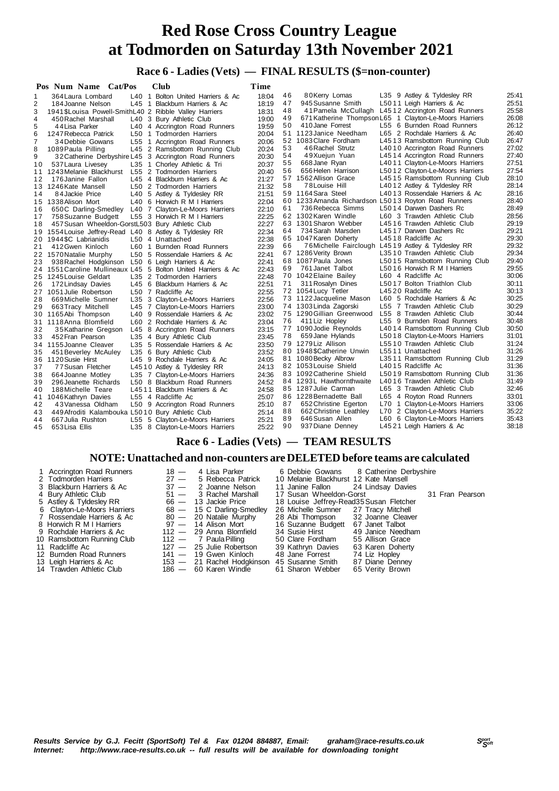# **Race 6 - Ladies (Vets) — FINAL RESULTS (\$=non-counter)**

|    | Pos Num Name Cat/Pos                                    |     | Club                                                          | Time           |    |                                                     |                                                                |                |
|----|---------------------------------------------------------|-----|---------------------------------------------------------------|----------------|----|-----------------------------------------------------|----------------------------------------------------------------|----------------|
| 1  | 364 Laura Lombard                                       |     | L40 1 Bolton United Harriers & Ac                             | 18:04          | 46 | 80Kerry Lomas                                       | L35 9 Astley & Tyldesley RR                                    | 25:41          |
| 2  | 184 Joanne Nelson                                       |     | L45 1 Blackburn Harriers & Ac                                 | 18:19          | 47 | 945 Susanne Smith                                   | L5011 Leigh Harriers & Ac                                      | 25:51          |
| 3  | 1941 \$Louisa Powell-SmithL40 2 Ribble Valley Harriers  |     |                                                               | 18:31          | 48 | 41 Pamela McCullagh                                 | L4512 Accrington Road Runners                                  | 25:58          |
| 4  | 450 Rachel Marshall                                     |     | L40 3 Bury Athletic Club                                      | 19:00          | 49 |                                                     | 671 Katherine Thompson L65 1 Clayton-Le-Moors Harriers         | 26:08          |
| 5  | 44 Lisa Parker                                          |     | L40 4 Accrington Road Runners                                 | 19:59          | 50 | 410 Jane Forrest                                    | L55 6 Burnden Road Runners                                     | 26:12          |
| 6  | 1247 Rebecca Patrick                                    |     | L50 1 Todmorden Harriers                                      | 20:04          |    | 51 1123 Janice Needham                              | L65 2 Rochdale Harriers & Ac                                   | 26:40          |
| 7  | 34 Debbie Gowans                                        | L55 | 1 Accrington Road Runners                                     | 20:06          |    | 52 1083 Clare Fordham                               | L4513 Ramsbottom Running Club                                  | 26:47          |
| 8  | 1089 Paula Pilling                                      |     | L45 2 Ramsbottom Running Club                                 | 20:24          | 53 | 46 Rachel Strutz                                    | L4010 Accrington Road Runners                                  | 27:02          |
| 9  |                                                         |     | 32 Catherine Derbyshire L45 3 Accrington Road Runners         | 20:30          | 54 | 49Xuejun Yuan                                       | L4514 Accrington Road Runners                                  | 27:40          |
| 10 | 537 Laura Livesey                                       | L35 | 1 Chorley Athletic & Tri                                      | 20:37          | 55 | 668 Jane Ryan                                       | L4011 Clayton-Le-Moors Harriers                                | 27:51          |
| 11 | 1243 Melanie Blackhurst                                 |     | L55 2 Todmorden Harriers                                      | 20:40          | 56 | 656 Helen Harrison                                  | L5012 Clayton-Le-Moors Harriers                                | 27:54          |
| 12 | 176 Janine Fallon                                       |     | L45 4 Blackburn Harriers & Ac                                 | 21:27          | 57 | 1562 Allison Grace                                  | L4515 Ramsbottom Running Club                                  | 28:10          |
|    | 13 1246 Kate Mansell                                    |     | L50 2 Todmorden Harriers                                      | 21:32          | 58 | 78 Louise Hill                                      | L4012 Astley & Tyldesley RR                                    | 28:14          |
| 14 | 84 Jackie Price                                         |     | L40 5 Astley & Tyldesley RR                                   | 21:51          |    | 59 1164 Sara Steel                                  | L4013 Rossendale Harriers & Ac                                 | 28:16          |
| 15 | 1338 Alison Mort                                        |     | L40 6 Horwich R M I Harriers                                  | 22:04          |    | 60 1233 Amanda Richardson L5013 Royton Road Runners |                                                                | 28:40          |
| 16 | 650C Darling-Smedley                                    |     | L40 7 Clayton-Le-Moors Harriers                               | 22:10          | 61 | 736 Rebecca Simms                                   | L5014 Darwen Dashers Rc                                        | 28:49          |
| 17 | 758 Suzanne Budgett                                     |     | L55 3 Horwich R M I Harriers                                  | 22:25          |    | 62 1302 Karen Windle                                | L60 3 Trawden Athletic Club                                    | 28:56          |
|    |                                                         |     |                                                               | 22:27          |    | 63 1301 Sharon Webber                               | L4516 Trawden Athletic Club                                    | 29:19          |
| 18 | 457 Susan Wheeldon-GorstL503 Bury Athletic Club         |     |                                                               | 22:34          | 64 | 734 Sarah Marsden                                   | L4517 Darwen Dashers Rc                                        | 29:21          |
|    | 19 1554 Louise Jeffrey-Read L40 8 Astley & Tyldesley RR |     |                                                               | 22:38          |    | 65 1047 Karen Doherty                               | L4518 Radcliffe Ac                                             | 29:30          |
|    | 20 1944 SC Labrianidis                                  |     | L50 4 Unattached                                              |                | 66 | 76 Michelle Fairclough L4519 Astley & Tyldesley RR  |                                                                | 29:32          |
| 21 | 412 Gwen Kinloch                                        |     | L60 1 Burnden Road Runners                                    | 22:39<br>22:41 |    | 67 1286 Verity Brown                                | L3510 Trawden Athletic Club                                    | 29:34          |
|    | 22 1570 Natalie Murphy                                  |     | L50 5 Rossendale Harriers & Ac                                |                |    | 68 1087 Paula Jones                                 | L5015 Ramsbottom Running Club                                  | 29:40          |
| 23 | 938 Rachel Hodgkinson                                   |     | L50 6 Leigh Harriers & Ac                                     | 22:41          | 69 | 761 Janet Talbot                                    | L5016 Horwich R M I Harriers                                   | 29:55          |
|    |                                                         |     | 24 1551 Caroline Mullineaux L45 5 Bolton United Harriers & Ac | 22:43          |    | 70 1042 Elaine Bailey                               | L60 4 Radcliffe Ac                                             | 30:06          |
|    | 25 1245 Louise Geldart                                  |     | L35 2 Todmorden Harriers                                      | 22:48          |    |                                                     |                                                                | 30:11          |
| 26 | 172 Lindsay Davies                                      |     | L45 6 Blackburn Harriers & Ac                                 | 22:51          | 71 | 311 Rosalyn Dines<br>72 1054 Lucy Tetler            | L5017 Bolton Triathlon Club<br>L4520 Radcliffe Ac              | 30:13          |
|    | 27 1051 Julie Robertson                                 |     | L50 7 Radcliffe Ac                                            | 22:55          |    | 73 1122 Jacqueline Mason                            | L60 5 Rochdale Harriers & Ac                                   | 30:25          |
| 28 | 669 Michelle Sumner                                     |     | L35 3 Clayton-Le-Moors Harriers                               | 22:56          |    |                                                     |                                                                | 30:29          |
| 29 | 663 Tracy Mitchell                                      |     | L45 7 Clayton-Le-Moors Harriers                               | 23:00          |    | 74 1303 Linda Zagorski<br>75 1290 Gillian Greenwood | L55 7 Trawden Athletic Club<br>L55 8 Trawden Athletic Club     | 30:44          |
| 30 | 1165 Abi Thompson                                       |     | L40 9 Rossendale Harriers & Ac                                | 23:02          |    |                                                     |                                                                | 30:48          |
|    | 31 1118 Anna Blomfield                                  |     | L60 2 Rochdale Harriers & Ac                                  | 23:04          | 76 | 411 Liz Hopley                                      | L55 9 Burnden Road Runners                                     |                |
| 32 | 35 Katharine Gregson                                    |     | L45 8 Accrington Road Runners                                 | 23:15          |    | 77 1090 Jodie Reynolds                              | L4014 Ramsbottom Running Club                                  | 30:50<br>31:01 |
| 33 | 452 Fran Pearson                                        |     | L35 4 Bury Athletic Club                                      | 23:45          | 78 | 659 Jane Hylands<br>79 1279 Liz Allison             | L5018 Clayton-Le-Moors Harriers<br>L5510 Trawden Athletic Club | 31:24          |
|    | 34 1155 Joanne Cleaver                                  |     | L35 5 Rossendale Harriers & Ac                                | 23:50          |    |                                                     |                                                                | 31:26          |
| 35 | 451 Beverley McAuley                                    |     | L35 6 Bury Athletic Club                                      | 23:52          |    | 80 1948 \$Catherine Unwin                           | L5511 Unattached                                               | 31:29          |
| 36 | 1120 Susie Hirst                                        |     | L45 9 Rochdale Harriers & Ac                                  | 24:05          | 81 | 1080 Becky Albrow                                   | L3511 Ramsbottom Running Club                                  | 31:36          |
| 37 | 77 Susan Fletcher                                       |     | L4510 Astley & Tyldesley RR                                   | 24:13          |    | 82 1053 Louise Shield                               | L4015 Radcliffe Ac                                             |                |
| 38 | 664 Joanne Motley                                       |     | L35 7 Clayton-Le-Moors Harriers                               | 24:36          |    | 83 1092 Catherine Shield                            | L5019 Ramsbottom Running Club                                  | 31:36          |
| 39 | 296 Jeanette Richards                                   |     | L50 8 Blackburn Road Runners                                  | 24:52          |    | 84 1293L Hawthornthwaite                            | L4016 Trawden Athletic Club                                    | 31:49          |
| 40 | 188 Michelle Teare                                      |     | L4511 Blackburn Harriers & Ac                                 | 24:58          |    | 85 1287 Julie Carman                                | L65 3 Trawden Athletic Club                                    | 32:46          |
| 41 | 1046 Kathryn Davies                                     |     | L55 4 Radcliffe Ac                                            | 25:07          |    | 86 1228 Bernadette Ball                             | L65 4 Royton Road Runners                                      | 33:01          |
| 42 | 43 Vanessa Oldham                                       |     | L50 9 Accrington Road Runners                                 | 25:10          | 87 | 652 Christine Egerton                               | L70 1 Clayton-Le-Moors Harriers                                | 33:06          |
| 43 | 449 Afroditi Kalambouka L5010 Bury Athletic Club        |     |                                                               | 25:14          | 88 | 662 Christine Leathley                              | L70 2 Clayton-Le-Moors Harriers                                | 35:22          |
| 44 | 667 Julia Rushton                                       |     | L55 5 Clayton-Le-Moors Harriers                               | 25:21          | 89 | 646 Susan Allen                                     | L60 6 Clayton-Le-Moors Harriers                                | 35:43          |
| 45 | 653 Lisa Ellis                                          |     | L35 8 Clayton-Le-Moors Harriers                               | 25:22          | 90 | 937 Diane Denney                                    | L4521 Leigh Harriers & Ac                                      | 38:18          |

# **Race 6 - Ladies (Vets) — TEAM RESULTS**

| 1 Accrington Road Runners<br>2 Todmorden Harriers | $18 -$ | 4 Lisa Parker<br>27 - 5 Rebecca Patrick     | 10 Melanie Blackhurst 12 Kate Mansell    | 6 Debbie Gowans 8 Catherine Derbyshire |                 |
|---------------------------------------------------|--------|---------------------------------------------|------------------------------------------|----------------------------------------|-----------------|
| 3 Blackburn Harriers & Ac                         | $37 -$ | 2 Joanne Nelson                             | 11 Janine Fallon                         | 24 Lindsay Davies                      |                 |
| 4 Bury Athletic Club                              |        | $51 - 3$ Rachel Marshall                    | 17 Susan Wheeldon-Gorst                  |                                        | 31 Fran Pearson |
| 5 Astley & Tyldesley RR                           |        | 66 — 13 Jackie Price                        | 18 Louise Jeffrey-Read 35 Susan Fletcher |                                        |                 |
| 6 Clayton-Le-Moors Harriers                       |        | 68 - 15 C Darling-Smedley                   | 26 Michelle Sumner 27 Tracy Mitchell     |                                        |                 |
| 7 Rossendale Harriers & Ac                        |        | 80 - 20 Natalie Murphy                      | 28 Abi Thompson 32 Joanne Cleaver        |                                        |                 |
| 8 Horwich R M I Harriers                          |        | 97 — 14 Alison Mort                         | 16 Suzanne Budgett 67 Janet Talbot       |                                        |                 |
| 9 Rochdale Harriers & Ac                          |        | $112 - 29$ Anna Blomfield                   | 34 Susie Hirst                           | 49 Janice Needham                      |                 |
| 10 Ramsbottom Running Club                        |        | $112 - 7$ Paula Pilling                     | 50 Clare Fordham                         | 55 Allison Grace                       |                 |
| 11 Radcliffe Ac                                   |        | 127 - 25 Julie Robertson                    | 39 Kathryn Davies                        | 63 Karen Doherty                       |                 |
| 12 Burnden Road Runners                           |        | $141 - 19$ Gwen Kinloch                     | 48 Jane Forrest                          | 74 Liz Hopley                          |                 |
| 13 Leigh Harriers & Ac                            |        | 153 - 21 Rachel Hodgkinson 45 Susanne Smith |                                          | 87 Diane Denney                        |                 |
| 14 Trawden Athletic Club                          |        | 186 — 60 Karen Windle                       | 61 Sharon Webber                         | 65 Verity Brown                        |                 |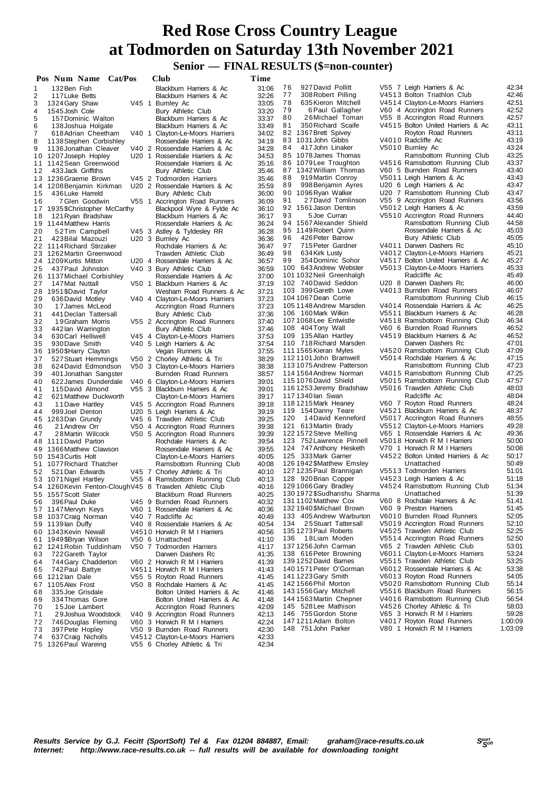# **Senior — FINAL RESULTS (\$=non-counter) Red Rose Cross Country League at Todmorden on Saturday 13th November 2021**

|           | Pos Num Name Cat/Pos                                    |  | Club                                                         | Time           |          |                                                      |                                                                    |                |
|-----------|---------------------------------------------------------|--|--------------------------------------------------------------|----------------|----------|------------------------------------------------------|--------------------------------------------------------------------|----------------|
| 1         | 132 Ben Fish                                            |  | Blackburn Harriers & Ac                                      | 31:06          | 76       | 927 David Pollitt                                    | V55 7 Leigh Harriers & Ac                                          | 42:34          |
| 2         | 117 Luke Betts                                          |  | Blackburn Harriers & Ac                                      | 32:26          | 77       | 308 Robert Pilling                                   | V4513 Bolton Triathlon Club                                        | 42:46          |
| 3         | 1324 Gary Shaw                                          |  | V45 1 Burnley Ac                                             | 33:05          | 78       | 635 Kieron Mitchell                                  | V4514 Clayton-Le-Moors Harriers                                    | 42:51          |
| 4         | 1545 Josh Cole                                          |  | Bury Athletic Club                                           | 33:20          | 79       | 6 Paul Gallagher                                     | V60 4 Accrington Road Runners                                      | 42:52          |
| 5<br>6    | 157 Dominic Walton                                      |  | Blackburn Harriers & Ac<br>Blackburn Harriers & Ac           | 33:37<br>33:49 | 80<br>81 | 26Michael Toman<br>350 Richard Scaife                | V55 8 Accrington Road Runners<br>V4515 Bolton United Harriers & Ac | 42:57<br>43:11 |
| 7         | 138 Joshua Holgate<br>618 Adrian Cheetham               |  | V40 1 Clayton-Le-Moors Harriers                              | 34:02          |          | 82 1367 Brett Spivey                                 | Royton Road Runners                                                | 43:11          |
| 8         | 1138 Stephen Corbishley                                 |  | Rossendale Harriers & Ac                                     | 34:19          |          | 83 1031 John Gibbs                                   | V4010 Radcliffe Ac                                                 | 43:19          |
| 9         | 1136 Jonathan Cleaver                                   |  | V40 2 Rossendale Harriers & Ac                               | 34:28          | 84       | 417 John Linaker                                     | V5010 Burnley Ac                                                   | 43:24          |
|           | 10 1207 Joseph Hopley                                   |  | U20 1 Rossendale Harriers & Ac                               | 34:53          |          | 85 1078 James Thomas                                 | Ramsbottom Running Club                                            | 43:25          |
|           | 11 1142 Sean Greenwood                                  |  | Rossendale Harriers & Ac                                     | 35:16          |          | 86 1079 Lee Troughton                                | V4516 Ramsbottom Running Club                                      | 43:37          |
| 12        | 433 Jack Griffiths                                      |  | Bury Athletic Club<br>V45 2 Todmorden Harriers               | 35:46<br>35:46 | 88       | 87 1342 William Thomas<br>919 Martin Conroy          | V60 5 Burnden Road Runners<br>V5011 Leigh Harriers & Ac            | 43:40<br>43:43 |
|           | 13 1236 Graeme Brown<br>14 1208 Benjamin Kirkman        |  | U20 2 Rossendale Harriers & Ac                               | 35:59          | 89       | 998 Benjamin Ayres                                   | U20 6 Leigh Harriers & Ac                                          | 43:47          |
| 15        | 436 Luke Harreld                                        |  | Bury Athletic Club                                           | 36:00          | 90       | 1096 Ryan Walker                                     | U20 7 Ramsbottom Running Club                                      | 43:47          |
| 16        | 7 Glen Goodwin                                          |  | V55 1 Accrington Road Runners                                | 36:09          | 91       | 27David Tomlinson                                    | V55 9 Accrington Road Runners                                      | 43:56          |
|           | 17 1935 \$Christopher McCarthy                          |  | Blackpool Wyre & Fylde Ac                                    | 36:10          |          | 92 1561 Jason Denton                                 | V5012 Leigh Harriers & Ac                                          | 43.59          |
| 18        | 121 Ryan Bradshaw                                       |  | Blackburn Harriers & Ac                                      | 36:17          | 93       | 5 Joe Curran                                         | V5510 Accrington Road Runners                                      | 44:40          |
|           | 19 1144 Matthew Harris                                  |  | Rossendale Harriers & Ac                                     | 36:24          |          | 94 1567 Alexander Shield<br>95 1149 Robert Quinn     | Ramsbottom Running Club<br>Rossendale Harriers & Ac                | 44.58<br>45:03 |
| 20<br>21  | 52Tim Campbell<br>423 Bilal Mazouzi                     |  | V45 3 Astley & Tyldesley RR<br>U20 3 Burnley Ac              | 36:28<br>36:36 | 96       | 426 Peter Barrow                                     | Bury Athletic Club                                                 | 45:05          |
|           | 22 1114 Richard Stirzaker                               |  | Rochdale Harriers & Ac                                       | 36:47          | 97       | 715 Peter Gardner                                    | V4011 Darwen Dashers Rc                                            | 45:10          |
|           | 23 1262 Martin Greenwood                                |  | Trawden Athletic Club                                        | 36:49          | 98       | 634 Kirk Lusty                                       | V4012 Clayton-Le-Moors Harriers                                    | 45:21          |
|           | 24 1209 Kurtis Mitton                                   |  | U20 4 Rossendale Harriers & Ac                               | 36:57          | 99       | 354 Dominic Sohor                                    | V4517 Bolton United Harriers & Ac                                  | 45:27          |
| 25        | 437 Paul Johnston                                       |  | V40 3 Bury Athletic Club                                     | 36:59          |          | 100 643 Andrew Webster                               | V5013 Clayton-Le-Moors Harriers                                    | 45:33          |
|           | 26 1137 Michael Corbishley                              |  | Rossendale Harriers & Ac                                     | 37:00          |          | 101 1032 Neil Greenhalgh<br>102 740 David Seddon     | Radcliffe Ac<br>U20 8 Darwen Dashers Rc                            | 45.49<br>46:00 |
| 27        | 147 Mat Nuttall<br>28 1951 \$David Taylor               |  | V50 1 Blackburn Harriers & Ac<br>Wesham Road Runners & Ac    | 37:19<br>37:21 |          | 103 399 Gareth Lowe                                  | V4013 Burnden Road Runners                                         | 46:07          |
| 29        | 636 David Motley                                        |  | V40 4 Clayton-Le-Moors Harriers                              | 37:23          |          | 104 1067 Dean Corrie                                 | Ramsbottom Running Club                                            | 46:15          |
| 30        | 17 James McLeod                                         |  | Accrington Road Runners                                      | 37:23          |          | 1051148 Andrew Marsden                               | V4014 Rossendale Harriers & Ac                                     | 46:25          |
| 31        | 441 Declan Tattersall                                   |  | Bury Athletic Club                                           | 37:36          |          | 106 160 Mark Wilkin                                  | V5511 Blackburn Harriers & Ac                                      | 46:28          |
| 32        | 19 Graham Morris                                        |  | V55 2 Accrington Road Runners                                | 37:40          |          | 1071068 Lee Entwistle                                | V4518 Ramsbottom Running Club                                      | 46:34          |
| 33        | 442 lan Warrington                                      |  | Bury Athletic Club                                           | 37:46          |          | 108 404 Tony Wall                                    | V60 6 Burnden Road Runners<br>V4519 Blackburn Harriers & Ac        | 46:52<br>46:52 |
| 34<br>35  | 630 Carl Helliwell<br>930 Dave Smith                    |  | V45 4 Clayton-Le-Moors Harriers<br>V40 5 Leigh Harriers & Ac | 37:53<br>37:54 |          | 109 135 Allan Hartley<br>110 718 Richard Marsden     | Darwen Dashers Rc                                                  | 47:01          |
|           | 36 1950 \$Harry Clayton                                 |  | Vegan Runners Uk                                             | 37:55          |          | 111 1565 Kieran Myles                                | V4520 Ramsbottom Running Club                                      | 47:09          |
| 37        | 527 Stuart Hemmings                                     |  | V50 2 Chorley Athletic & Tri                                 | 38:29          |          | 112 1101 John Bramwell                               | V5014 Rochdale Harriers & Ac                                       | 47:15          |
| 38        | 624 David Edmondson                                     |  | V50 3 Clayton-Le-Moors Harriers                              | 38:38          |          | 113 1075 Andrew Patterson                            | Ramsbottom Running Club                                            | 47:23          |
| 39        | 401 Jonathan Sangster                                   |  | Burnden Road Runners                                         | 38:57          |          | 114 1564 Andrew Norman                               | V4015 Ramsbottom Running Club                                      | 47:25          |
| 40        | 622 James Dunderdale                                    |  | V40 6 Clayton-Le-Moors Harriers                              | 39:01          |          | 115 1076 David Shield                                | V5015 Ramsbottom Running Club<br>V5016 Trawden Athletic Club       | 47:57<br>48:03 |
| 41<br>42  | 115 David Almond<br>621 Matthew Duckworth               |  | V55 3 Blackburn Harriers & Ac<br>Clayton-Le-Moors Harriers   | 39:01<br>39:17 |          | 116 1253 Jeremy Bradshaw<br>117 1340 lan Swan        | Radcliffe Ac                                                       | 48:04          |
| 43        | 11 Dave Hartley                                         |  | V45 5 Accrington Road Runners                                | 39:18          |          | 118 1215 Mark Heaney                                 | V60 7 Royton Road Runners                                          | 48:24          |
| 44        | 999 Joel Denton                                         |  | U20 5 Leigh Harriers & Ac                                    | 39:19          |          | 119 154 Danny Teare                                  | V4521 Blackburn Harriers & Ac                                      | 48:37          |
|           | 45 1263 Dan Grundy                                      |  | V45 6 Trawden Athletic Club                                  | 39:25          | 120      | 14David Kenneford                                    | V5017 Accrington Road Runners                                      | 48.55          |
| 46        | 21 Andrew Orr                                           |  | V50 4 Accrington Road Runners                                | 39:38          |          | 121 613 Martin Brady                                 | V5512 Clayton-Le-Moors Harriers                                    | 49:28          |
| 47        | 28 Martin Wilcock                                       |  | V50 5 Accrington Road Runners<br>Rochdale Harriers & Ac      | 39:39<br>39:54 |          | 122 1572 Steve Melling<br>123 752 Lawrence Pinnell   | V65 1 Rossendale Harriers & Ac<br>V5018 Horwich R M I Harriers     | 49.36<br>50:00 |
|           | 48 1111 David Parton<br>49 1366 Matthew Clawson         |  | Rossendale Harriers & Ac                                     | 39:55          |          | 124 747 Anthony Hesketh                              | V70 1 Horwich R M I Harriers                                       | 50:08          |
|           | 50 1543 Curtis Holt                                     |  | Clayton-Le-Moors Harriers                                    | 40:05          |          | 125 333 Mark Garner                                  | V4522 Bolton United Harriers & Ac                                  | 50:17          |
|           | 51 1077 Richard Thatcher                                |  | Ramsbottom Running Club                                      | 40:08          |          | 126 1942 \$Matthew Emsley                            | Unattached                                                         | 50:49          |
| 52        | 521 Dan Edwards                                         |  | V45 7 Chorley Athletic & Tri                                 | 40:10          |          | 127 1235 Paul Brannigan                              | V5513 Todmorden Harriers                                           | 51:01          |
|           | 53 1071 Nigel Hartley                                   |  | V55 4 Ramsbottom Running Club                                | 40:13          |          | 128 920 Brian Copper                                 | V4523 Leigh Harriers & Ac                                          | 51:18          |
|           | 54 1260 Kevin Fenton-Clough V45 8 Trawden Athletic Club |  |                                                              | 40:16<br>40:25 |          | 129 1066 Gary Bradley<br>130 1972 \$Sudhanshu Sharma | V4524 Ramsbottom Running Club<br>Unattached                        | 51:34<br>51:39 |
| 55.<br>56 | 1557 Scott Slater<br>396 Paul Duke                      |  | Blackburn Road Runners<br>V45 9 Burnden Road Runners         | 40:32          |          | 131 1102 Matthew Cox                                 | V60 8 Rochdale Harriers & Ac                                       | 51:41          |
|           | 57 1147 Mervyn Keys                                     |  | V60 1 Rossendale Harriers & Ac                               | 40:36          |          | 1321940\$Michael Brown                               | V60 9 Preston Harriers                                             | 51:45          |
| 58        | 1037 Craig Norman                                       |  | V40 7 Radcliffe Ac                                           | 40:49          |          | 133 405 Andrew Warburton                             | V6010 Burnden Road Runners                                         | 52:05          |
|           | 59 1139 lan Duffy                                       |  | V40 8 Rossendale Harriers & Ac                               | 40:54          | 134      | 25 Stuart Tattersall                                 | V5019 Accrington Road Runners                                      | 52:10          |
|           | 60 1343 Kevin Newall                                    |  | V4510 Horwich R M I Harriers                                 | 40:56          | 136      | 135 1273 Paul Roberts<br>18Liam Moden                | V4525 Trawden Athletic Club                                        | 52:25<br>52:50 |
| 61        | 1949\$Bryan Wilson<br>62 1241 Robin Tuddinham           |  | V50 6 Unattached<br>V50 7 Todmorden Harriers                 | 41:10<br>41:17 |          | 137 1256 John Carman                                 | V5514 Accrington Road Runners<br>V65 2 Trawden Athletic Club       | 53:01          |
| 63        | 722 Gareth Taylor                                       |  | Darwen Dashers Rc                                            | 41:35          |          | 138 616 Peter Browning                               | V6011 Clayton-Le-Moors Harriers                                    | 53:24          |
| 64        | 744 Gary Chadderton                                     |  | V60 2 Horwich R M I Harriers                                 | 41:39          |          | 139 1252 David Barnes                                | V5515 Trawden Athletic Club                                        | 53:25          |
| 65        | 742 Paul Battye                                         |  | V4511 Horwich R M I Harriers                                 | 41:43          |          | 140 1571 Peter O'Gorman                              | V6012 Rossendale Harriers & Ac                                     | 53:38          |
|           | 66 1212 lan Dale                                        |  | V55 5 Royton Road Runners                                    | 41:45          |          | 141 1223 Gary Smith                                  | V6013 Royton Road Runners                                          | 54:05          |
| 67        | 1105 Alex Frost                                         |  | V50 8 Rochdale Harriers & Ac                                 | 41:45          |          | 142 1566 Phil Morton                                 | V5020 Ramsbottom Running Club<br>V5516 Blackburn Road Runners      | 55:14          |
| 68<br>69  | 335 Joe Grisdale<br>334 Thomas Gore                     |  | Bolton United Harriers & Ac<br>Bolton United Harriers & Ac   | 41:46<br>41:48 |          | 143 1556 Gary Mitchell<br>144 1563 Martin Chepner    | V4016 Ramsbottom Running Club                                      | 56:15<br>56:54 |
| 70        | 15 Joe Lambert                                          |  | Accrington Road Runners                                      | 42:09          |          | 145 528 Lee Mathison                                 | V4526 Chorley Athletic & Tri                                       | 58:03          |
| 71        | 29 Joshua Woodstock                                     |  | V40 9 Accrington Road Runners                                | 42:13          |          | 146 755 Gordon Stone                                 | V65 3 Horwich R M I Harriers                                       | 59:28          |
| 72        | 746 Douglas Fleming                                     |  | V60 3 Horwich R M I Harriers                                 | 42:24          |          | 147 1211 Adam Bolton                                 | V4017 Royton Road Runners                                          | 1:00:09        |
| 73        | 397 Pete Hopley                                         |  | V50 9 Burnden Road Runners                                   | 42:30          |          | 148 751 John Parker                                  | V80 1 Horwich R M I Harriers                                       | 1:03:09        |
| 74        | 637 Craig Nicholls                                      |  | V4512 Clayton-Le-Moors Harriers                              | 42:33          |          |                                                      |                                                                    |                |
|           | 75 1326 Paul Wareing                                    |  | V55 6 Chorley Athletic & Tri                                 | 42:34          |          |                                                      |                                                                    |                |